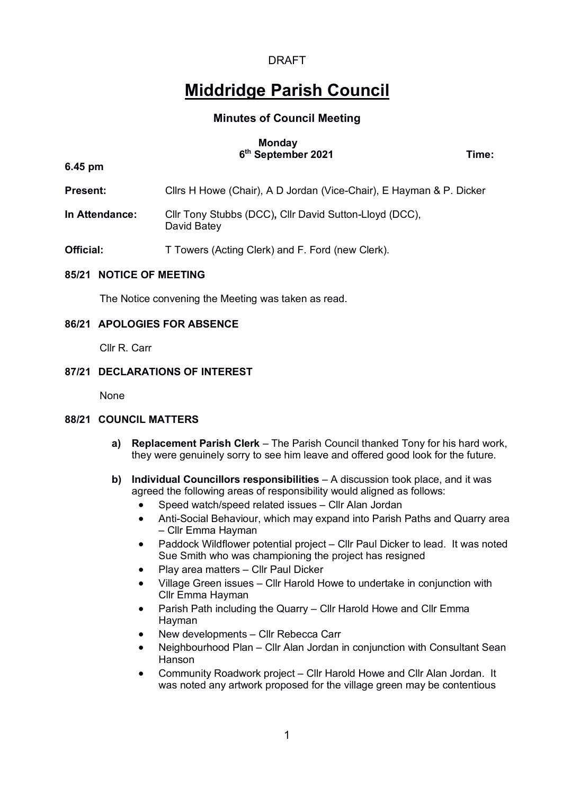# **Middridge Parish Council**

# **Minutes of Council Meeting**

## **Monday 6th September 2021 Time:**

**6.45 pm**

- **Present:** Clirs H Howe (Chair), A D Jordan (Vice-Chair), E Hayman & P. Dicker
- **In Attendance:** Cllr Tony Stubbs (DCC)**,** Cllr David Sutton-Lloyd (DCC), David Batey
- **Official:** T Towers (Acting Clerk) and F. Ford (new Clerk).

## **85/21 NOTICE OF MEETING**

The Notice convening the Meeting was taken as read.

## **86/21 APOLOGIES FOR ABSENCE**

Cllr R. Carr

## **87/21 DECLARATIONS OF INTEREST**

None

# **88/21 COUNCIL MATTERS**

- **a) Replacement Parish Clerk** The Parish Council thanked Tony for his hard work, they were genuinely sorry to see him leave and offered good look for the future.
- **b) Individual Councillors responsibilities** A discussion took place, and it was agreed the following areas of responsibility would aligned as follows:
	- Speed watch/speed related issues Cllr Alan Jordan
	- Anti-Social Behaviour, which may expand into Parish Paths and Quarry area – Cllr Emma Hayman
	- Paddock Wildflower potential project Cllr Paul Dicker to lead. It was noted Sue Smith who was championing the project has resigned
	- Play area matters Cllr Paul Dicker
	- Village Green issues Cllr Harold Howe to undertake in conjunction with Cllr Emma Hayman
	- Parish Path including the Quarry Cllr Harold Howe and Cllr Emma Hayman
	- New developments Cllr Rebecca Carr
	- Neighbourhood Plan Cllr Alan Jordan in conjunction with Consultant Sean Hanson
	- Community Roadwork project Cllr Harold Howe and Cllr Alan Jordan. It was noted any artwork proposed for the village green may be contentious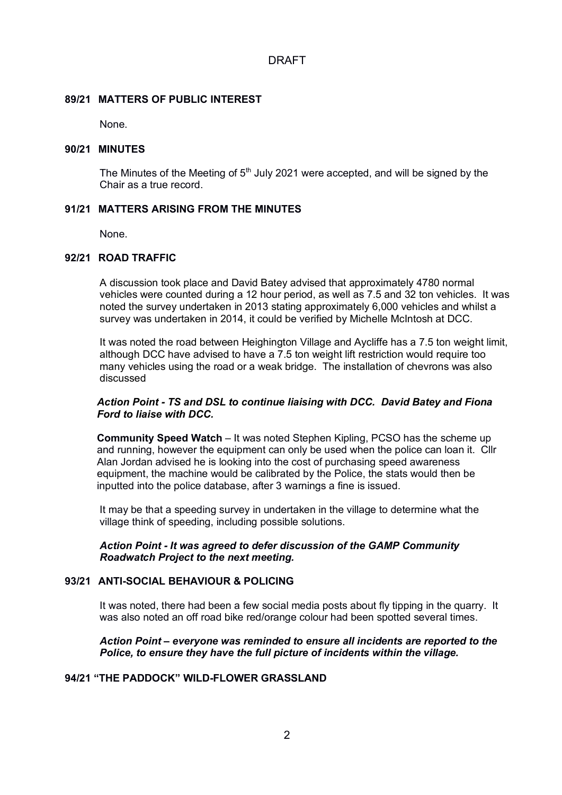## **89/21 MATTERS OF PUBLIC INTEREST**

None.

## **90/21 MINUTES**

The Minutes of the Meeting of  $5<sup>th</sup>$  July 2021 were accepted, and will be signed by the Chair as a true record.

# **91/21 MATTERS ARISING FROM THE MINUTES**

None.

# **92/21 ROAD TRAFFIC**

A discussion took place and David Batey advised that approximately 4780 normal vehicles were counted during a 12 hour period, as well as 7.5 and 32 ton vehicles. It was noted the survey undertaken in 2013 stating approximately 6,000 vehicles and whilst a survey was undertaken in 2014, it could be verified by Michelle McIntosh at DCC.

It was noted the road between Heighington Village and Aycliffe has a 7.5 ton weight limit, although DCC have advised to have a 7.5 ton weight lift restriction would require too many vehicles using the road or a weak bridge. The installation of chevrons was also discussed

## *Action Point - TS and DSL to continue liaising with DCC. David Batey and Fiona Ford to liaise with DCC.*

**Community Speed Watch** – It was noted Stephen Kipling, PCSO has the scheme up and running, however the equipment can only be used when the police can loan it. Cllr Alan Jordan advised he is looking into the cost of purchasing speed awareness equipment, the machine would be calibrated by the Police, the stats would then be inputted into the police database, after 3 warnings a fine is issued.

It may be that a speeding survey in undertaken in the village to determine what the village think of speeding, including possible solutions.

*Action Point - It was agreed to defer discussion of the GAMP Community Roadwatch Project to the next meeting.*

# **93/21 ANTI-SOCIAL BEHAVIOUR & POLICING**

It was noted, there had been a few social media posts about fly tipping in the quarry. It was also noted an off road bike red/orange colour had been spotted several times.

## *Action Point – everyone was reminded to ensure all incidents are reported to the Police, to ensure they have the full picture of incidents within the village.*

# **94/21 "THE PADDOCK" WILD-FLOWER GRASSLAND**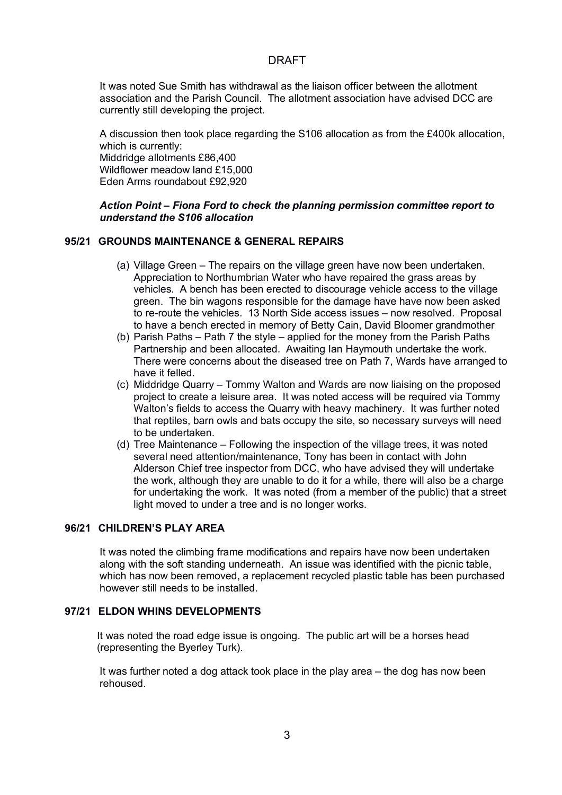It was noted Sue Smith has withdrawal as the liaison officer between the allotment association and the Parish Council. The allotment association have advised DCC are currently still developing the project.

A discussion then took place regarding the S106 allocation as from the £400k allocation, which is currently: Middridge allotments £86,400 Wildflower meadow land £15,000 Eden Arms roundabout £92,920

## *Action Point – Fiona Ford to check the planning permission committee report to understand the S106 allocation*

## **95/21 GROUNDS MAINTENANCE & GENERAL REPAIRS**

- (a) Village Green The repairs on the village green have now been undertaken. Appreciation to Northumbrian Water who have repaired the grass areas by vehicles. A bench has been erected to discourage vehicle access to the village green. The bin wagons responsible for the damage have have now been asked to re-route the vehicles. 13 North Side access issues – now resolved. Proposal to have a bench erected in memory of Betty Cain, David Bloomer grandmother
- (b) Parish Paths Path 7 the style applied for the money from the Parish Paths Partnership and been allocated. Awaiting Ian Haymouth undertake the work. There were concerns about the diseased tree on Path 7, Wards have arranged to have it felled.
- (c) Middridge Quarry Tommy Walton and Wards are now liaising on the proposed project to create a leisure area. It was noted access will be required via Tommy Walton's fields to access the Quarry with heavy machinery. It was further noted that reptiles, barn owls and bats occupy the site, so necessary surveys will need to be undertaken.
- (d) Tree Maintenance Following the inspection of the village trees, it was noted several need attention/maintenance, Tony has been in contact with John Alderson Chief tree inspector from DCC, who have advised they will undertake the work, although they are unable to do it for a while, there will also be a charge for undertaking the work. It was noted (from a member of the public) that a street light moved to under a tree and is no longer works.

# **96/21 CHILDREN'S PLAY AREA**

It was noted the climbing frame modifications and repairs have now been undertaken along with the soft standing underneath. An issue was identified with the picnic table, which has now been removed, a replacement recycled plastic table has been purchased however still needs to be installed.

# **97/21 ELDON WHINS DEVELOPMENTS**

It was noted the road edge issue is ongoing. The public art will be a horses head (representing the Byerley Turk).

It was further noted a dog attack took place in the play area – the dog has now been rehoused.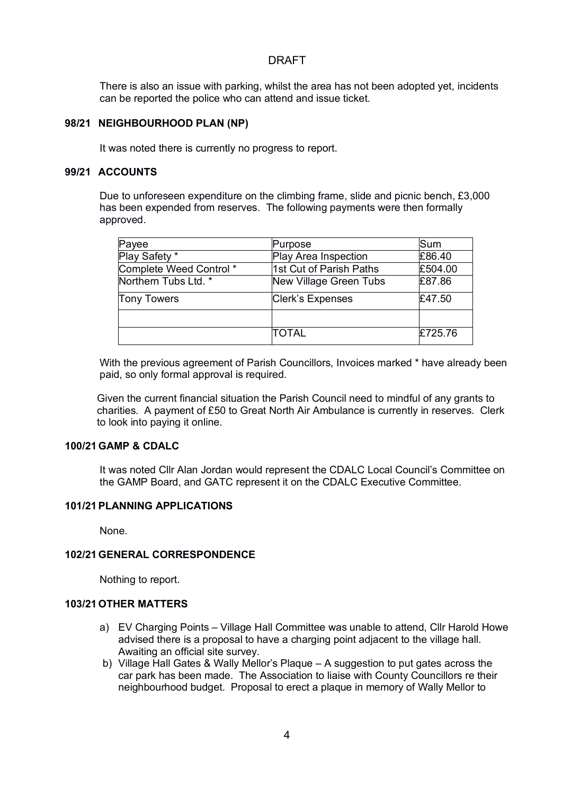There is also an issue with parking, whilst the area has not been adopted yet, incidents can be reported the police who can attend and issue ticket.

## **98/21 NEIGHBOURHOOD PLAN (NP)**

It was noted there is currently no progress to report.

## **99/21 ACCOUNTS**

Due to unforeseen expenditure on the climbing frame, slide and picnic bench, £3,000 has been expended from reserves. The following payments were then formally approved.

| Payee                   | Purpose                 | Sum     |
|-------------------------|-------------------------|---------|
| Play Safety *           | Play Area Inspection    | £86.40  |
| Complete Weed Control * | 1st Cut of Parish Paths | £504.00 |
| Northern Tubs Ltd. *    | New Village Green Tubs  | £87.86  |
| <b>Tony Towers</b>      | Clerk's Expenses        | £47.50  |
|                         |                         |         |
|                         | <b>TOTAL</b>            | £725.76 |

With the previous agreement of Parish Councillors, Invoices marked \* have already been paid, so only formal approval is required.

Given the current financial situation the Parish Council need to mindful of any grants to charities. A payment of £50 to Great North Air Ambulance is currently in reserves. Clerk to look into paying it online.

#### **100/21 GAMP & CDALC**

It was noted Cllr Alan Jordan would represent the CDALC Local Council's Committee on the GAMP Board, and GATC represent it on the CDALC Executive Committee.

# **101/21PLANNING APPLICATIONS**

None.

## **102/21 GENERAL CORRESPONDENCE**

Nothing to report.

# **103/21 OTHER MATTERS**

- a) EV Charging Points Village Hall Committee was unable to attend, Cllr Harold Howe advised there is a proposal to have a charging point adjacent to the village hall. Awaiting an official site survey.
- b) Village Hall Gates & Wally Mellor's Plaque A suggestion to put gates across the car park has been made. The Association to liaise with County Councillors re their neighbourhood budget. Proposal to erect a plaque in memory of Wally Mellor to